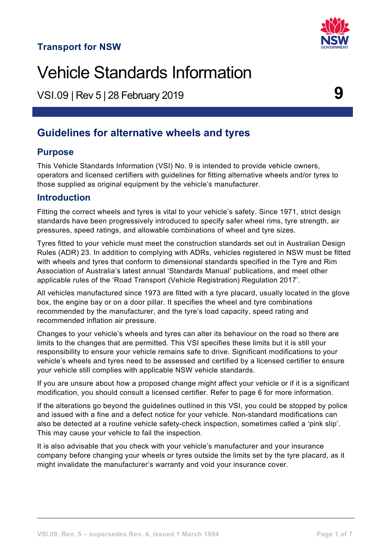## **Transport for NSW**



VSI.09 | Rev 5 | 28 February <sup>2019</sup> **9**

# **Guidelines for alternative wheels and tyres**

### **Purpose**

This Vehicle Standards Information (VSI) No. 9 is intended to provide vehicle owners, operators and licensed certifiers with guidelines for fitting alternative wheels and/or tyres to those supplied as original equipment by the vehicle's manufacturer.

### **Introduction**

Fitting the correct wheels and tyres is vital to your vehicle's safety. Since 1971, strict design standards have been progressively introduced to specify safer wheel rims, tyre strength, air pressures, speed ratings, and allowable combinations of wheel and tyre sizes.

Tyres fitted to your vehicle must meet the construction standards set out in Australian Design Rules (ADR) 23. In addition to complying with ADRs, vehicles registered in NSW must be fitted with wheels and tyres that conform to dimensional standards specified in the Tyre and Rim Association of Australia's latest annual 'Standards Manual' publications, and meet other applicable rules of the 'Road Transport (Vehicle Registration) Regulation 2017'.

All vehicles manufactured since 1973 are fitted with a tyre placard, usually located in the glove box, the engine bay or on a door pillar. It specifies the wheel and tyre combinations recommended by the manufacturer, and the tyre's load capacity, speed rating and recommended inflation air pressure.

Changes to your vehicle's wheels and tyres can alter its behaviour on the road so there are limits to the changes that are permitted. This VSI specifies these limits but it is still your responsibility to ensure your vehicle remains safe to drive. Significant modifications to your vehicle's wheels and tyres need to be assessed and certified by a licensed certifier to ensure your vehicle still complies with applicable NSW vehicle standards.

If you are unsure about how a proposed change might affect your vehicle or if it is a significant modification, you should consult a licensed certifier. Refer to page 6 for more information.

If the alterations go beyond the guidelines outlined in this VSI, you could be stopped by police and issued with a fine and a defect notice for your vehicle. Non-standard modifications can also be detected at a routine vehicle safety-check inspection, sometimes called a 'pink slip'. This may cause your vehicle to fail the inspection.

It is also advisable that you check with your vehicle's manufacturer and your insurance company before changing your wheels or tyres outside the limits set by the tyre placard, as it might invalidate the manufacturer's warranty and void your insurance cover.



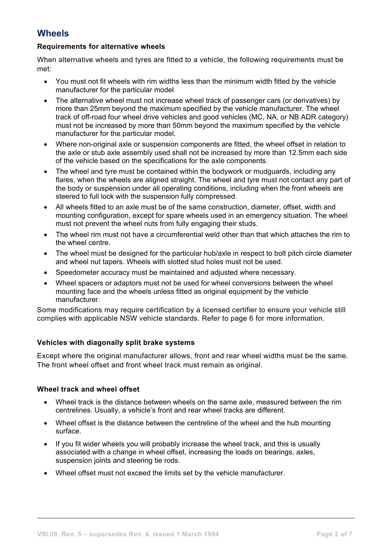## **Wheels**

#### **Requirements for alternative wheels**

When alternative wheels and tyres are fitted to a vehicle, the following requirements must be met:

- You must not fit wheels with rim widths less than the minimum width fitted by the vehicle manufacturer for the particular model
- The alternative wheel must not increase wheel track of passenger cars (or derivatives) by more than 25mm beyond the maximum specified by the vehicle manufacturer. The wheel track of off-road four wheel drive vehicles and good vehicles (MC, NA, or NB ADR category) must not be increased by more than 50mm beyond the maximum specified by the vehicle manufacturer for the particular model.
- Where non-original axle or suspension components are fitted, the wheel offset in relation to the axle or stub axle assembly used shall not be increased by more than 12.5mm each side of the vehicle based on the specifications for the axle components.
- The wheel and tyre must be contained within the bodywork or mudguards, including any flares, when the wheels are aligned straight. The wheel and tyre must not contact any part of the body or suspension under all operating conditions, including when the front wheels are steered to full lock with the suspension fully compressed.
- All wheels fitted to an axle must be of the same construction, diameter, offset, width and mounting configuration, except for spare wheels used in an emergency situation. The wheel must not prevent the wheel nuts from fully engaging their studs.
- The wheel rim must not have a circumferential weld other than that which attaches the rim to the wheel centre.
- The wheel must be designed for the particular hub/axle in respect to bolt pitch circle diameter and wheel nut tapers. Wheels with slotted stud holes must not be used.
- Speedometer accuracy must be maintained and adjusted where necessary.
- Wheel spacers or adaptors must not be used for wheel conversions between the wheel mounting face and the wheels unless fitted as original equipment by the vehicle manufacturer.

Some modifications may require certification by a licensed certifier to ensure your vehicle still complies with applicable NSW vehicle standards. Refer to page 6 for more information.

#### **Vehicles with diagonally split brake systems**

Except where the original manufacturer allows, front and rear wheel widths must be the same. The front wheel offset and front wheel track must remain as original.

#### **Wheel track and wheel offset**

- Wheel track is the distance between wheels on the same axle, measured between the rim centrelines. Usually, a vehicle's front and rear wheel tracks are different.
- Wheel offset is the distance between the centreline of the wheel and the hub mounting surface.
- If you fit wider wheels you will probably increase the wheel track, and this is usually associated with a change in wheel offset, increasing the loads on bearings, axles, suspension joints and steering tie rods.
- Wheel offset must not exceed the limits set by the vehicle manufacturer.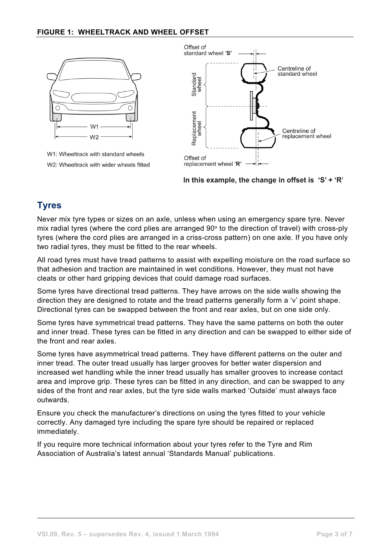#### **FIGURE 1: WHEELTRACK AND WHEEL OFFSET**



W1: Wheeltrack with standard wheels W2: Wheeltrack with wider wheels fitted



In this example, the change in offset is  $S' + R'$ 

### **Tyres**

Never mix tyre types or sizes on an axle, unless when using an emergency spare tyre. Never mix radial tyres (where the cord plies are arranged  $90^\circ$  to the direction of travel) with cross-ply tyres (where the cord plies are arranged in a criss-cross pattern) on one axle. If you have only two radial tyres, they must be fitted to the rear wheels.

All road tyres must have tread patterns to assist with expelling moisture on the road surface so that adhesion and traction are maintained in wet conditions. However, they must not have cleats or other hard gripping devices that could damage road surfaces.

Some tyres have directional tread patterns. They have arrows on the side walls showing the direction they are designed to rotate and the tread patterns generally form a 'v' point shape. Directional tyres can be swapped between the front and rear axles, but on one side only.

Some tyres have symmetrical tread patterns. They have the same patterns on both the outer and inner tread. These tyres can be fitted in any direction and can be swapped to either side of the front and rear axles.

Some tyres have asymmetrical tread patterns. They have different patterns on the outer and inner tread. The outer tread usually has larger grooves for better water dispersion and increased wet handling while the inner tread usually has smaller grooves to increase contact area and improve grip. These tyres can be fitted in any direction, and can be swapped to any sides of the front and rear axles, but the tyre side walls marked 'Outside' must always face outwards.

Ensure you check the manufacturer's directions on using the tyres fitted to your vehicle correctly. Any damaged tyre including the spare tyre should be repaired or replaced immediately.

If you require more technical information about your tyres refer to the Tyre and Rim Association of Australia's latest annual 'Standards Manual' publications.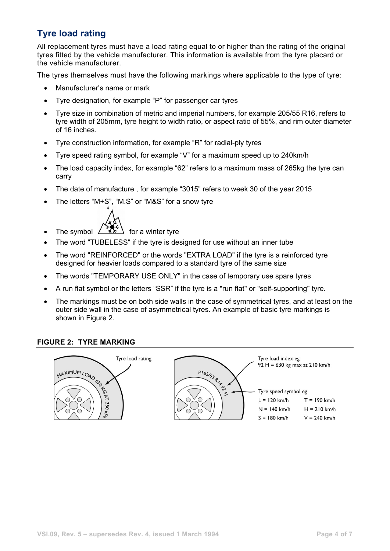# **Tyre load rating**

All replacement tyres must have a load rating equal to or higher than the rating of the original tyres fitted by the vehicle manufacturer. This information is available from the tyre placard or the vehicle manufacturer.

The tyres themselves must have the following markings where applicable to the type of tyre:

- Manufacturer's name or mark
- Tyre designation, for example "P" for passenger car tyres
- Tyre size in combination of metric and imperial numbers, for example 205/55 R16, refers to tyre width of 205mm, tyre height to width ratio, or aspect ratio of 55%, and rim outer diameter of 16 inches.
- Tyre construction information, for example "R" for radial-ply tyres
- Tyre speed rating symbol, for example "V" for a maximum speed up to 240km/h
- The load capacity index, for example "62" refers to a maximum mass of 265kg the tyre can carry
- The date of manufacture , for example "3015" refers to week 30 of the year 2015
- The letters "M+S", "M.S" or "M&S" for a snow tyre
- The symbol  $\angle$   $\overline{AR}$  for a winter tyre
- The word "TUBELESS" if the tyre is designed for use without an inner tube
- The word "REINFORCED" or the words "EXTRA LOAD" if the tyre is a reinforced tyre designed for heavier loads compared to a standard tyre of the same size
- The words "TEMPORARY USE ONLY" in the case of temporary use spare tyres
- A run flat symbol or the letters "SSR" if the tyre is a "run flat" or "self-supporting" tyre.
- The markings must be on both side walls in the case of symmetrical tyres, and at least on the outer side wall in the case of asymmetrical tyres. An example of basic tyre markings is shown in Figure 2.

#### **FIGURE 2: TYRE MARKING**

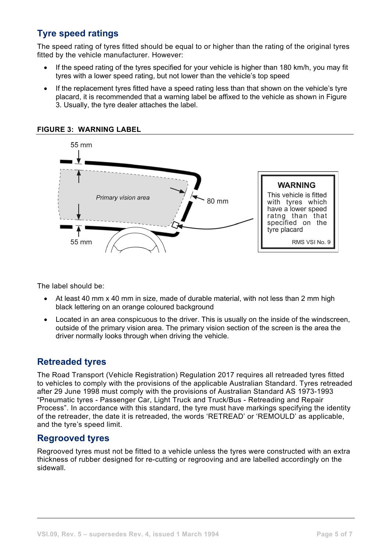## **Tyre speed ratings**

The speed rating of tyres fitted should be equal to or higher than the rating of the original tyres fitted by the vehicle manufacturer. However:

- If the speed rating of the tyres specified for your vehicle is higher than 180 km/h, you may fit tyres with a lower speed rating, but not lower than the vehicle's top speed
- If the replacement tyres fitted have a speed rating less than that shown on the vehicle's tyre placard, it is recommended that a warning label be affixed to the vehicle as shown in Figure 3. Usually, the tyre dealer attaches the label.



**FIGURE 3: WARNING LABEL**

The label should be:

- At least 40 mm x 40 mm in size, made of durable material, with not less than 2 mm high black lettering on an orange coloured background
- Located in an area conspicuous to the driver. This is usually on the inside of the windscreen, outside of the primary vision area. The primary vision section of the screen is the area the driver normally looks through when driving the vehicle.

### **Retreaded tyres**

The Road Transport (Vehicle Registration) Regulation 2017 requires all retreaded tyres fitted to vehicles to comply with the provisions of the applicable Australian Standard. Tyres retreaded after 29 June 1998 must comply with the provisions of Australian Standard AS 1973-1993 "Pneumatic tyres - Passenger Car, Light Truck and Truck/Bus - Retreading and Repair Process". In accordance with this standard, the tyre must have markings specifying the identity of the retreader, the date it is retreaded, the words 'RETREAD' or 'REMOULD' as applicable, and the tyre's speed limit.

### **Regrooved tyres**

Regrooved tyres must not be fitted to a vehicle unless the tyres were constructed with an extra thickness of rubber designed for re-cutting or regrooving and are labelled accordingly on the sidewall.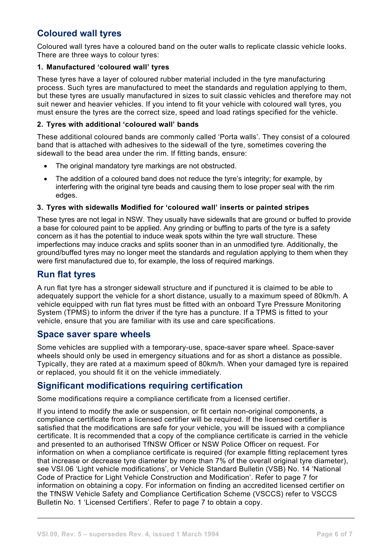## **Coloured wall tyres**

Coloured wall tyres have a coloured band on the outer walls to replicate classic vehicle looks. There are three ways to colour tyres:

#### **1. Manufactured 'coloured wall' tyres**

These tyres have a layer of coloured rubber material included in the tyre manufacturing process. Such tyres are manufactured to meet the standards and regulation applying to them, but these tyres are usually manufactured in sizes to suit classic vehicles and therefore may not suit newer and heavier vehicles. If you intend to fit your vehicle with coloured wall tyres, you must ensure the tyres are the correct size, speed and load ratings specified for the vehicle.

#### **2. Tyres with additional 'coloured wall' bands**

These additional coloured bands are commonly called 'Porta walls'. They consist of a coloured band that is attached with adhesives to the sidewall of the tyre, sometimes covering the sidewall to the bead area under the rim. If fitting bands, ensure:

- The original mandatory tyre markings are not obstructed.
- The addition of a coloured band does not reduce the tyre's integrity; for example, by interfering with the original tyre beads and causing them to lose proper seal with the rim edges.

#### **3. Tyres with sidewalls Modified for 'coloured wall' inserts or painted stripes**

These tyres are not legal in NSW. They usually have sidewalls that are ground or buffed to provide a base for coloured paint to be applied. Any grinding or buffing to parts of the tyre is a safety concern as it has the potential to induce weak spots within the tyre wall structure. These imperfections may induce cracks and splits sooner than in an unmodified tyre. Additionally, the ground/buffed tyres may no longer meet the standards and regulation applying to them when they were first manufactured due to, for example, the loss of required markings.

### **Run flat tyres**

A run flat tyre has a stronger sidewall structure and if punctured it is claimed to be able to adequately support the vehicle for a short distance, usually to a maximum speed of 80km/h. A vehicle equipped with run flat tyres must be fitted with an onboard Tyre Pressure Monitoring System (TPMS) to inform the driver if the tyre has a puncture. If a TPMS is fitted to your vehicle, ensure that you are familiar with its use and care specifications.

#### **Space saver spare wheels**

Some vehicles are supplied with a temporary-use, space-saver spare wheel. Space-saver wheels should only be used in emergency situations and for as short a distance as possible. Typically, they are rated at a maximum speed of 80km/h. When your damaged tyre is repaired or replaced, you should fit it on the vehicle immediately.

### **Significant modifications requiring certification**

Some modifications require a compliance certificate from a licensed certifier.

If you intend to modify the axle or suspension, or fit certain non-original components, a compliance certificate from a licensed certifier will be required. If the licensed certifier is satisfied that the modifications are safe for your vehicle, you will be issued with a compliance certificate. It is recommended that a copy of the compliance certificate is carried in the vehicle and presented to an authorised TfNSW Officer or NSW Police Officer on request. For information on when a compliance certificate is required (for example fitting replacement tyres that increase or decrease tyre diameter by more than 7% of the overall original tyre diameter), see VSI.06 'Light vehicle modifications', or Vehicle Standard Bulletin (VSB) No. 14 'National Code of Practice for Light Vehicle Construction and Modification'. Refer to page 7 for information on obtaining a copy. For information on finding an accredited licensed certifier on the TfNSW Vehicle Safety and Compliance Certification Scheme (VSCCS) refer to VSCCS Bulletin No. 1 'Licensed Certifiers'. Refer to page 7 to obtain a copy.